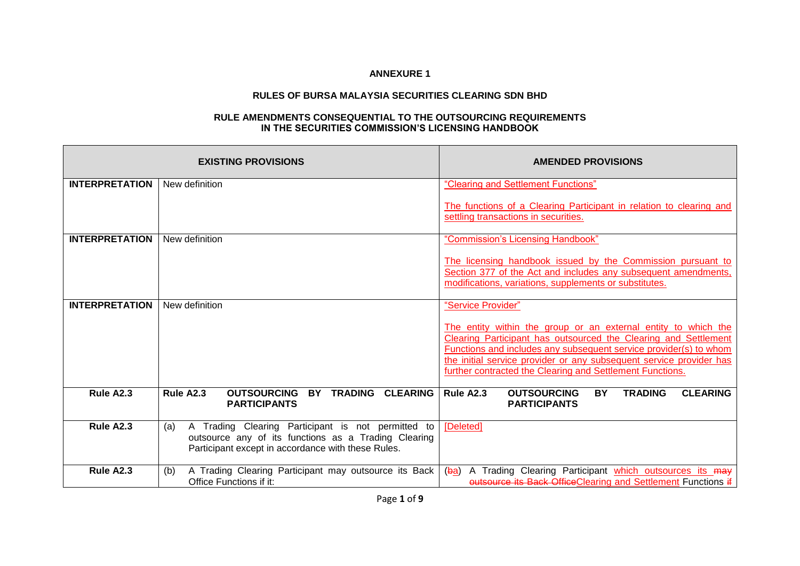## **ANNEXURE 1**

## **RULES OF BURSA MALAYSIA SECURITIES CLEARING SDN BHD**

## **RULE AMENDMENTS CONSEQUENTIAL TO THE OUTSOURCING REQUIREMENTS IN THE SECURITIES COMMISSION'S LICENSING HANDBOOK**

|                       | <b>EXISTING PROVISIONS</b>                                                                                                                                              | <b>AMENDED PROVISIONS</b>                                                                                                                                                                                                                                                                                                                  |
|-----------------------|-------------------------------------------------------------------------------------------------------------------------------------------------------------------------|--------------------------------------------------------------------------------------------------------------------------------------------------------------------------------------------------------------------------------------------------------------------------------------------------------------------------------------------|
| <b>INTERPRETATION</b> | New definition                                                                                                                                                          | "Clearing and Settlement Functions"                                                                                                                                                                                                                                                                                                        |
|                       |                                                                                                                                                                         | The functions of a Clearing Participant in relation to clearing and<br>settling transactions in securities.                                                                                                                                                                                                                                |
| <b>INTERPRETATION</b> | New definition                                                                                                                                                          | "Commission's Licensing Handbook"                                                                                                                                                                                                                                                                                                          |
|                       |                                                                                                                                                                         | The licensing handbook issued by the Commission pursuant to<br>Section 377 of the Act and includes any subsequent amendments,<br>modifications, variations, supplements or substitutes.                                                                                                                                                    |
| <b>INTERPRETATION</b> | New definition                                                                                                                                                          | "Service Provider"                                                                                                                                                                                                                                                                                                                         |
|                       |                                                                                                                                                                         | The entity within the group or an external entity to which the<br>Clearing Participant has outsourced the Clearing and Settlement<br>Functions and includes any subsequent service provider(s) to whom<br>the initial service provider or any subsequent service provider has<br>further contracted the Clearing and Settlement Functions. |
| Rule A2.3             | Rule A2.3<br><b>OUTSOURCING</b><br>TRADING CLEARING<br>BY.<br><b>PARTICIPANTS</b>                                                                                       | <b>TRADING</b><br>Rule A2.3<br><b>OUTSOURCING</b><br><b>BY</b><br><b>CLEARING</b><br><b>PARTICIPANTS</b>                                                                                                                                                                                                                                   |
| Rule A2.3             | A Trading Clearing Participant is not permitted to<br>(a)<br>outsource any of its functions as a Trading Clearing<br>Participant except in accordance with these Rules. | [Deleted]                                                                                                                                                                                                                                                                                                                                  |
| Rule A2.3             | A Trading Clearing Participant may outsource its Back<br>(b)<br>Office Functions if it:                                                                                 | A Trading Clearing Participant which outsources its may<br>(ba)<br>outsource its Back OfficeClearing and Settlement Functions if                                                                                                                                                                                                           |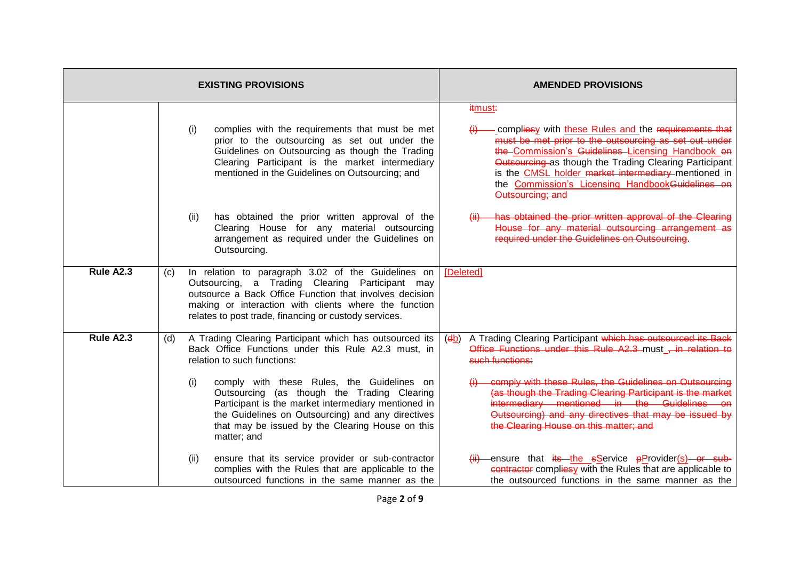|           | <b>EXISTING PROVISIONS</b>                                                                                                                                                                                                                                                                                                                                                                                                              | <b>AMENDED PROVISIONS</b>                                                                                                                                                                                                                                                                                                                                                                                                      |
|-----------|-----------------------------------------------------------------------------------------------------------------------------------------------------------------------------------------------------------------------------------------------------------------------------------------------------------------------------------------------------------------------------------------------------------------------------------------|--------------------------------------------------------------------------------------------------------------------------------------------------------------------------------------------------------------------------------------------------------------------------------------------------------------------------------------------------------------------------------------------------------------------------------|
|           | complies with the requirements that must be met<br>(i)<br>prior to the outsourcing as set out under the<br>Guidelines on Outsourcing as though the Trading<br>Clearing Participant is the market intermediary<br>mentioned in the Guidelines on Outsourcing; and                                                                                                                                                                        | itmust:<br>-compliesy with these Rules and the requirements that<br>must be met prior to the outsourcing as set out under<br>the-Commission's Guidelines-Licensing Handbook on<br>Outsourcing as though the Trading Clearing Participant<br>is the <b>CMSL</b> holder market intermediary mentioned in<br>the Commission's Licensing Handbook Guidelines on<br>Outsourcing; and                                                |
|           | has obtained the prior written approval of the<br>(ii)<br>Clearing House for any material outsourcing<br>arrangement as required under the Guidelines on<br>Outsourcing.                                                                                                                                                                                                                                                                | has obtained the prior written approval of the Clearing<br>House for any material outsourcing arrangement as<br>required under the Guidelines on Outsourcing.                                                                                                                                                                                                                                                                  |
| Rule A2.3 | In relation to paragraph 3.02 of the Guidelines on<br>(c)<br>Outsourcing, a Trading Clearing Participant may<br>outsource a Back Office Function that involves decision<br>making or interaction with clients where the function<br>relates to post trade, financing or custody services.                                                                                                                                               | [Deleted]                                                                                                                                                                                                                                                                                                                                                                                                                      |
| Rule A2.3 | A Trading Clearing Participant which has outsourced its<br>(d)<br>Back Office Functions under this Rule A2.3 must, in<br>relation to such functions:<br>comply with these Rules, the Guidelines on<br>(i)<br>Outsourcing (as though the Trading Clearing<br>Participant is the market intermediary mentioned in<br>the Guidelines on Outsourcing) and any directives<br>that may be issued by the Clearing House on this<br>matter; and | A Trading Clearing Participant which has outsourced its Back<br>(db)<br>Office Functions under this Rule A2.3 must, in relation to<br>such functions:<br>comply with these Rules, the Guidelines on Outsourcing<br>(as though the Trading Clearing Participant is the market<br>intermediary mentioned in the Guidelines on<br>Outsourcing) and any directives that may be issued by<br>the Clearing House on this matter; and |
|           | (ii)<br>ensure that its service provider or sub-contractor<br>complies with the Rules that are applicable to the<br>outsourced functions in the same manner as the                                                                                                                                                                                                                                                                      | ensure that its the sService pProvider(s) or sub-<br>contractor compliesy with the Rules that are applicable to<br>the outsourced functions in the same manner as the                                                                                                                                                                                                                                                          |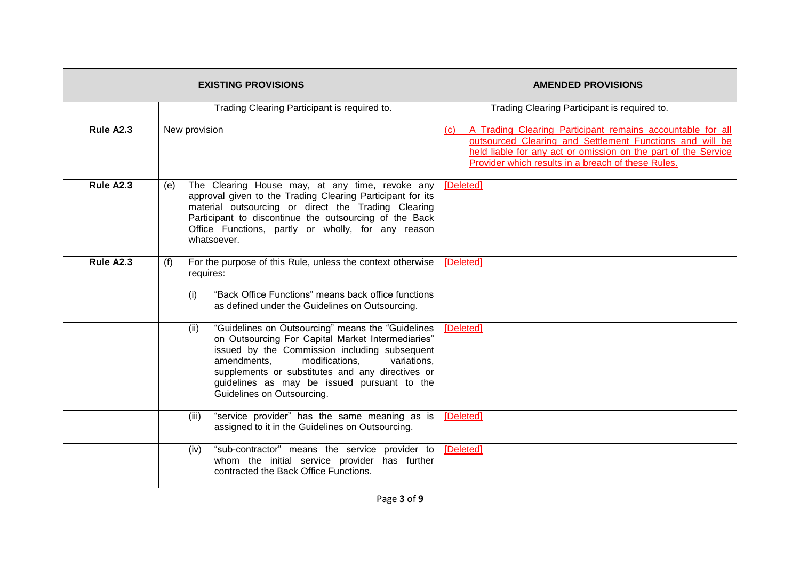| <b>EXISTING PROVISIONS</b> |                                                                                                                                                                                                                                                                                                                                                   | <b>AMENDED PROVISIONS</b>                                                                                                                                                                                                                                           |
|----------------------------|---------------------------------------------------------------------------------------------------------------------------------------------------------------------------------------------------------------------------------------------------------------------------------------------------------------------------------------------------|---------------------------------------------------------------------------------------------------------------------------------------------------------------------------------------------------------------------------------------------------------------------|
|                            | Trading Clearing Participant is required to.                                                                                                                                                                                                                                                                                                      | Trading Clearing Participant is required to.                                                                                                                                                                                                                        |
| Rule A2.3                  | New provision                                                                                                                                                                                                                                                                                                                                     | A Trading Clearing Participant remains accountable for all<br>$\left( c\right)$<br>outsourced Clearing and Settlement Functions and will be<br>held liable for any act or omission on the part of the Service<br>Provider which results in a breach of these Rules. |
| Rule A2.3                  | The Clearing House may, at any time, revoke any<br>(e)<br>approval given to the Trading Clearing Participant for its<br>material outsourcing or direct the Trading Clearing<br>Participant to discontinue the outsourcing of the Back<br>Office Functions, partly or wholly, for any reason<br>whatsoever.                                        | [Deleted]                                                                                                                                                                                                                                                           |
| Rule A2.3                  | For the purpose of this Rule, unless the context otherwise<br>(f)<br>requires:<br>"Back Office Functions" means back office functions<br>(i)<br>as defined under the Guidelines on Outsourcing.                                                                                                                                                   | [Deleted]                                                                                                                                                                                                                                                           |
|                            | "Guidelines on Outsourcing" means the "Guidelines"<br>(ii)<br>on Outsourcing For Capital Market Intermediaries"<br>issued by the Commission including subsequent<br>modifications,<br>amendments,<br>variations,<br>supplements or substitutes and any directives or<br>guidelines as may be issued pursuant to the<br>Guidelines on Outsourcing. | [Deleted]                                                                                                                                                                                                                                                           |
|                            | "service provider" has the same meaning as is<br>(iii)<br>assigned to it in the Guidelines on Outsourcing.                                                                                                                                                                                                                                        | [Deleted]                                                                                                                                                                                                                                                           |
|                            | "sub-contractor" means the service provider to<br>(iv)<br>whom the initial service provider has further<br>contracted the Back Office Functions.                                                                                                                                                                                                  | [Deleted]                                                                                                                                                                                                                                                           |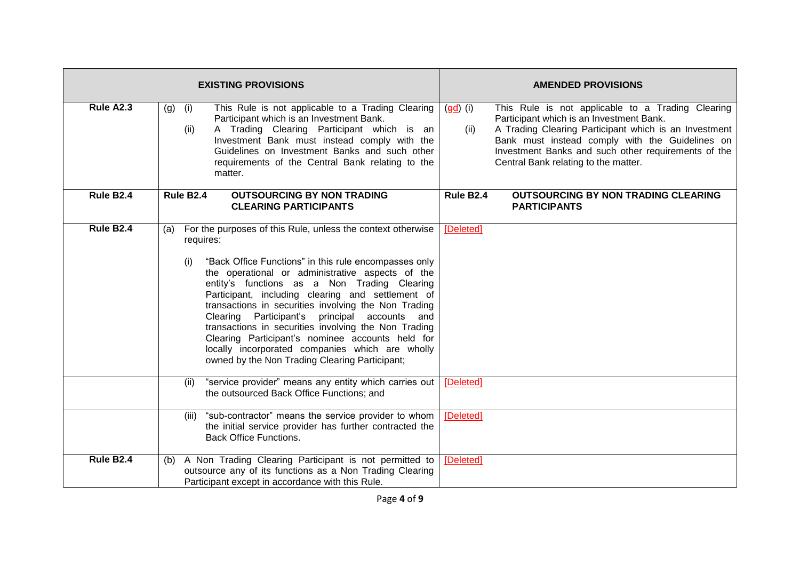|                       | <b>EXISTING PROVISIONS</b>                                                                                                                                                                                                                                                                                                                                                                                                                                                                                                                                                                                                         | <b>AMENDED PROVISIONS</b>                                                                                                                                                                                                                                                                                                                 |
|-----------------------|------------------------------------------------------------------------------------------------------------------------------------------------------------------------------------------------------------------------------------------------------------------------------------------------------------------------------------------------------------------------------------------------------------------------------------------------------------------------------------------------------------------------------------------------------------------------------------------------------------------------------------|-------------------------------------------------------------------------------------------------------------------------------------------------------------------------------------------------------------------------------------------------------------------------------------------------------------------------------------------|
| Rule A2.3             | $(g)$ (i)<br>This Rule is not applicable to a Trading Clearing<br>Participant which is an Investment Bank.<br>A Trading Clearing Participant which is an<br>(ii)<br>Investment Bank must instead comply with the<br>Guidelines on Investment Banks and such other<br>requirements of the Central Bank relating to the<br>matter.                                                                                                                                                                                                                                                                                                   | ( <del>g</del> d) (i)<br>This Rule is not applicable to a Trading Clearing<br>Participant which is an Investment Bank.<br>A Trading Clearing Participant which is an Investment<br>(ii)<br>Bank must instead comply with the Guidelines on<br>Investment Banks and such other requirements of the<br>Central Bank relating to the matter. |
| Rule B <sub>2.4</sub> | <b>OUTSOURCING BY NON TRADING</b><br>Rule B2.4<br><b>CLEARING PARTICIPANTS</b>                                                                                                                                                                                                                                                                                                                                                                                                                                                                                                                                                     | Rule B2.4<br><b>OUTSOURCING BY NON TRADING CLEARING</b><br><b>PARTICIPANTS</b>                                                                                                                                                                                                                                                            |
| Rule B2.4             | For the purposes of this Rule, unless the context otherwise<br>(a)<br>requires:<br>"Back Office Functions" in this rule encompasses only<br>(i)<br>the operational or administrative aspects of the<br>entity's functions as a Non Trading Clearing<br>Participant, including clearing and settlement of<br>transactions in securities involving the Non Trading<br>Clearing Participant's principal accounts and<br>transactions in securities involving the Non Trading<br>Clearing Participant's nominee accounts held for<br>locally incorporated companies which are wholly<br>owned by the Non Trading Clearing Participant; | [Deleted]                                                                                                                                                                                                                                                                                                                                 |
|                       | "service provider" means any entity which carries out  <br>(ii)<br>the outsourced Back Office Functions; and                                                                                                                                                                                                                                                                                                                                                                                                                                                                                                                       | [Deleted]                                                                                                                                                                                                                                                                                                                                 |
|                       | "sub-contractor" means the service provider to whom<br>(iii)<br>the initial service provider has further contracted the<br><b>Back Office Functions.</b>                                                                                                                                                                                                                                                                                                                                                                                                                                                                           | [Deleted]                                                                                                                                                                                                                                                                                                                                 |
| Rule B2.4             | (b) A Non Trading Clearing Participant is not permitted to<br>outsource any of its functions as a Non Trading Clearing<br>Participant except in accordance with this Rule.                                                                                                                                                                                                                                                                                                                                                                                                                                                         | [Deleted]                                                                                                                                                                                                                                                                                                                                 |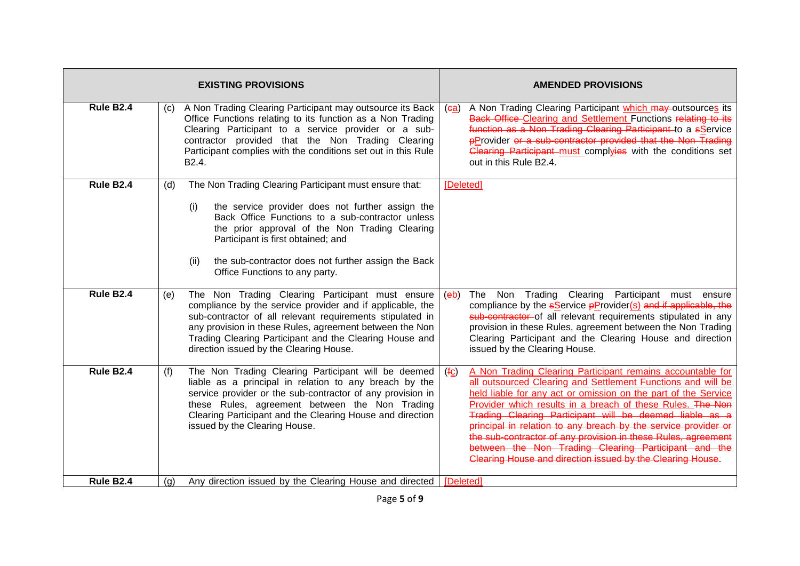|                       | <b>EXISTING PROVISIONS</b>                                                                                                                                                                                                                                                                                                                                            | <b>AMENDED PROVISIONS</b>                                                                                                                                                                                                                                                                                                                                                                                                                                                                                                                                                                           |
|-----------------------|-----------------------------------------------------------------------------------------------------------------------------------------------------------------------------------------------------------------------------------------------------------------------------------------------------------------------------------------------------------------------|-----------------------------------------------------------------------------------------------------------------------------------------------------------------------------------------------------------------------------------------------------------------------------------------------------------------------------------------------------------------------------------------------------------------------------------------------------------------------------------------------------------------------------------------------------------------------------------------------------|
| Rule B2.4             | A Non Trading Clearing Participant may outsource its Back<br>(C)<br>Office Functions relating to its function as a Non Trading<br>Clearing Participant to a service provider or a sub-<br>contractor provided that the Non Trading Clearing<br>Participant complies with the conditions set out in this Rule<br>B <sub>2.4</sub> .                                    | A Non Trading Clearing Participant which may outsources its<br>(ea)<br>Back Office Clearing and Settlement Functions relating to its<br>function as a Non Trading Clearing Participant to a sService<br>pProvider or a sub-contractor provided that the Non-Trading<br>Clearing Participant must complyies with the conditions set<br>out in this Rule B2.4.                                                                                                                                                                                                                                        |
| Rule B <sub>2.4</sub> | The Non Trading Clearing Participant must ensure that:<br>(d)<br>the service provider does not further assign the<br>(i)<br>Back Office Functions to a sub-contractor unless<br>the prior approval of the Non Trading Clearing<br>Participant is first obtained; and<br>the sub-contractor does not further assign the Back<br>(ii)<br>Office Functions to any party. | [Deleted]                                                                                                                                                                                                                                                                                                                                                                                                                                                                                                                                                                                           |
| Rule B2.4             | The Non Trading Clearing Participant must ensure<br>(e)<br>compliance by the service provider and if applicable, the<br>sub-contractor of all relevant requirements stipulated in<br>any provision in these Rules, agreement between the Non<br>Trading Clearing Participant and the Clearing House and<br>direction issued by the Clearing House.                    | The<br>Non Trading<br>Clearing<br>Participant must<br>(eb)<br>ensure<br>compliance by the sService pProvider(s) and if applicable, the<br>sub-contractor of all relevant requirements stipulated in any<br>provision in these Rules, agreement between the Non Trading<br>Clearing Participant and the Clearing House and direction<br>issued by the Clearing House.                                                                                                                                                                                                                                |
| Rule B2.4             | The Non Trading Clearing Participant will be deemed<br>(f)<br>liable as a principal in relation to any breach by the<br>service provider or the sub-contractor of any provision in<br>these Rules, agreement between the Non Trading<br>Clearing Participant and the Clearing House and direction<br>issued by the Clearing House.                                    | A Non Trading Clearing Participant remains accountable for<br>(f <sub>C</sub> )<br>all outsourced Clearing and Settlement Functions and will be<br>held liable for any act or omission on the part of the Service<br>Provider which results in a breach of these Rules. The Non<br>Trading Clearing Participant will be deemed liable as a<br>principal in relation to any breach by the service provider or<br>the sub-contractor of any provision in these Rules, agreement<br>between the Non Trading Clearing Participant and the<br>Clearing House and direction issued by the Clearing House. |
| Rule B2.4             | Any direction issued by the Clearing House and directed<br>(g)                                                                                                                                                                                                                                                                                                        | [Deleted]                                                                                                                                                                                                                                                                                                                                                                                                                                                                                                                                                                                           |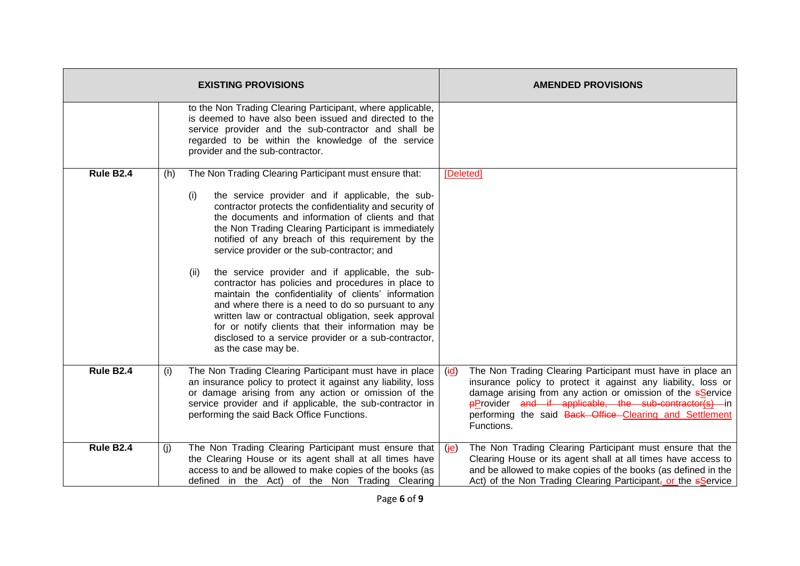|           |     | <b>EXISTING PROVISIONS</b>                                                                                                                                                                                                                                                                                                                                                                                                                                                                                                                                                                                                                                                                                                                                                                                                 |                    | <b>AMENDED PROVISIONS</b>                                                                                                                                                                                                                                                                                                          |
|-----------|-----|----------------------------------------------------------------------------------------------------------------------------------------------------------------------------------------------------------------------------------------------------------------------------------------------------------------------------------------------------------------------------------------------------------------------------------------------------------------------------------------------------------------------------------------------------------------------------------------------------------------------------------------------------------------------------------------------------------------------------------------------------------------------------------------------------------------------------|--------------------|------------------------------------------------------------------------------------------------------------------------------------------------------------------------------------------------------------------------------------------------------------------------------------------------------------------------------------|
|           |     | to the Non Trading Clearing Participant, where applicable,<br>is deemed to have also been issued and directed to the<br>service provider and the sub-contractor and shall be<br>regarded to be within the knowledge of the service<br>provider and the sub-contractor.                                                                                                                                                                                                                                                                                                                                                                                                                                                                                                                                                     |                    |                                                                                                                                                                                                                                                                                                                                    |
| Rule B2.4 | (h) | The Non Trading Clearing Participant must ensure that:<br>(i)<br>the service provider and if applicable, the sub-<br>contractor protects the confidentiality and security of<br>the documents and information of clients and that<br>the Non Trading Clearing Participant is immediately<br>notified of any breach of this requirement by the<br>service provider or the sub-contractor; and<br>the service provider and if applicable, the sub-<br>(ii)<br>contractor has policies and procedures in place to<br>maintain the confidentiality of clients' information<br>and where there is a need to do so pursuant to any<br>written law or contractual obligation, seek approval<br>for or notify clients that their information may be<br>disclosed to a service provider or a sub-contractor,<br>as the case may be. |                    | [Deleted]                                                                                                                                                                                                                                                                                                                          |
| Rule B2.4 | (i) | The Non Trading Clearing Participant must have in place<br>an insurance policy to protect it against any liability, loss<br>or damage arising from any action or omission of the<br>service provider and if applicable, the sub-contractor in<br>performing the said Back Office Functions.                                                                                                                                                                                                                                                                                                                                                                                                                                                                                                                                | $(i\underline{d})$ | The Non Trading Clearing Participant must have in place an<br>insurance policy to protect it against any liability, loss or<br>damage arising from any action or omission of the <i>sService</i><br>pProvider and if applicable, the sub-contractor(s) in<br>performing the said Back Office Clearing and Settlement<br>Functions. |
| Rule B2.4 | (i) | The Non Trading Clearing Participant must ensure that<br>the Clearing House or its agent shall at all times have<br>access to and be allowed to make copies of the books (as<br>defined in the Act) of the Non Trading Clearing                                                                                                                                                                                                                                                                                                                                                                                                                                                                                                                                                                                            | ( <u>je</u> )      | The Non Trading Clearing Participant must ensure that the<br>Clearing House or its agent shall at all times have access to<br>and be allowed to make copies of the books (as defined in the<br>Act) of the Non Trading Clearing Participant, or the sService                                                                       |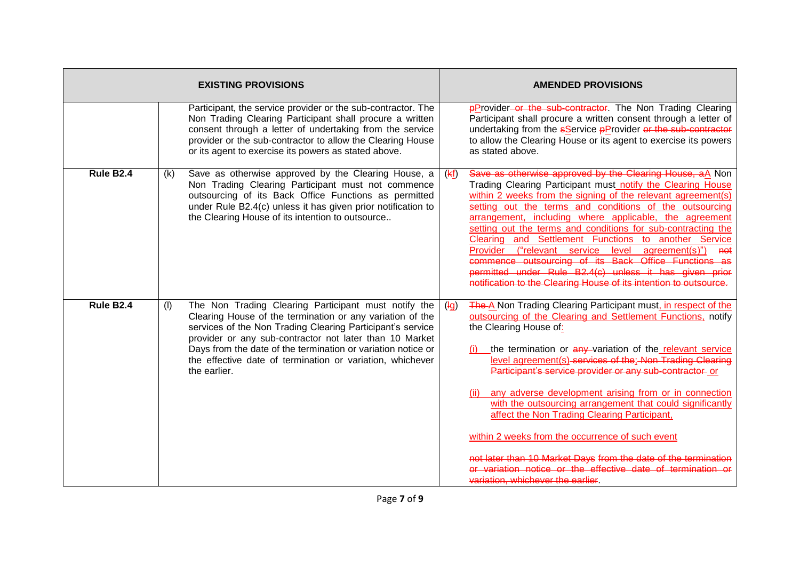|                       |     | <b>EXISTING PROVISIONS</b>                                                                                                                                                                                                                                                                                                                                                              |                 | <b>AMENDED PROVISIONS</b>                                                                                                                                                                                                                                                                                                                                                                                                                                                                                                                                                                                                                                                                                                                        |
|-----------------------|-----|-----------------------------------------------------------------------------------------------------------------------------------------------------------------------------------------------------------------------------------------------------------------------------------------------------------------------------------------------------------------------------------------|-----------------|--------------------------------------------------------------------------------------------------------------------------------------------------------------------------------------------------------------------------------------------------------------------------------------------------------------------------------------------------------------------------------------------------------------------------------------------------------------------------------------------------------------------------------------------------------------------------------------------------------------------------------------------------------------------------------------------------------------------------------------------------|
|                       |     | Participant, the service provider or the sub-contractor. The<br>Non Trading Clearing Participant shall procure a written<br>consent through a letter of undertaking from the service<br>provider or the sub-contractor to allow the Clearing House<br>or its agent to exercise its powers as stated above.                                                                              |                 | pProvider-or the sub-contractor. The Non Trading Clearing<br>Participant shall procure a written consent through a letter of<br>undertaking from the sService pProvider or the sub-contractor<br>to allow the Clearing House or its agent to exercise its powers<br>as stated above.                                                                                                                                                                                                                                                                                                                                                                                                                                                             |
| Rule B <sub>2.4</sub> | (k) | Save as otherwise approved by the Clearing House, a<br>Non Trading Clearing Participant must not commence<br>outsourcing of its Back Office Functions as permitted<br>under Rule B2.4(c) unless it has given prior notification to<br>the Clearing House of its intention to outsource                                                                                                  | (kf)            | Save as otherwise approved by the Clearing House, aA Non<br>Trading Clearing Participant must notify the Clearing House<br>within 2 weeks from the signing of the relevant agreement(s)<br>setting out the terms and conditions of the outsourcing<br>arrangement, including where applicable, the agreement<br>setting out the terms and conditions for sub-contracting the<br>Clearing and Settlement Functions to another Service<br>Provider ("relevant service level agreement(s)")<br>not<br>commence outsourcing of its Back Office Functions as<br>permitted under Rule B2.4(c) unless it has given prior<br>notification to the Clearing House of its intention to outsource.                                                           |
| Rule B <sub>2.4</sub> | (1) | The Non Trading Clearing Participant must notify the<br>Clearing House of the termination or any variation of the<br>services of the Non Trading Clearing Participant's service<br>provider or any sub-contractor not later than 10 Market<br>Days from the date of the termination or variation notice or<br>the effective date of termination or variation, whichever<br>the earlier. | $(\frac{1}{2})$ | The A Non Trading Clearing Participant must, in respect of the<br>outsourcing of the Clearing and Settlement Functions, notify<br>the Clearing House of:<br>the termination or any variation of the relevant service<br>level agreement(s) services of the; Non Trading Clearing<br>Participant's service provider or any sub-contractor or<br>any adverse development arising from or in connection<br>(ii)<br>with the outsourcing arrangement that could significantly<br>affect the Non Trading Clearing Participant,<br>within 2 weeks from the occurrence of such event<br>not later than 10 Market Days from the date of the termination<br>or variation notice or the effective date of termination<br>variation, whichever the earlier. |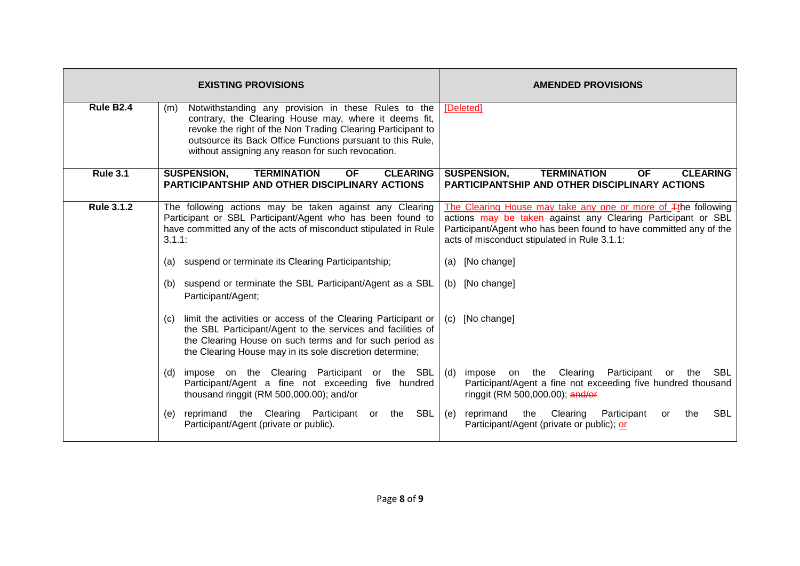|                       | <b>EXISTING PROVISIONS</b>                                                                                                                                                                                                                                                                            | <b>AMENDED PROVISIONS</b>                                                                                                                                                                                                                          |  |
|-----------------------|-------------------------------------------------------------------------------------------------------------------------------------------------------------------------------------------------------------------------------------------------------------------------------------------------------|----------------------------------------------------------------------------------------------------------------------------------------------------------------------------------------------------------------------------------------------------|--|
| Rule B <sub>2.4</sub> | Notwithstanding any provision in these Rules to the<br>(m)<br>contrary, the Clearing House may, where it deems fit,<br>revoke the right of the Non Trading Clearing Participant to<br>outsource its Back Office Functions pursuant to this Rule,<br>without assigning any reason for such revocation. | [Deleted]                                                                                                                                                                                                                                          |  |
| <b>Rule 3.1</b>       | <b>TERMINATION</b><br><b>OF</b><br><b>CLEARING</b><br><b>SUSPENSION,</b><br><b>PARTICIPANTSHIP AND OTHER DISCIPLINARY ACTIONS</b>                                                                                                                                                                     | <b>CLEARING</b><br><b>SUSPENSION,</b><br><b>TERMINATION</b><br><b>OF</b><br>PARTICIPANTSHIP AND OTHER DISCIPLINARY ACTIONS                                                                                                                         |  |
| <b>Rule 3.1.2</b>     | The following actions may be taken against any Clearing<br>Participant or SBL Participant/Agent who has been found to<br>have committed any of the acts of misconduct stipulated in Rule<br>3.1.1:                                                                                                    | The Clearing House may take any one or more of Tthe following<br>actions may be taken against any Clearing Participant or SBL<br>Participant/Agent who has been found to have committed any of the<br>acts of misconduct stipulated in Rule 3.1.1: |  |
|                       | (a) suspend or terminate its Clearing Participantship;                                                                                                                                                                                                                                                | [No change]<br>(a)                                                                                                                                                                                                                                 |  |
|                       | (b) suspend or terminate the SBL Participant/Agent as a SBL<br>Participant/Agent;                                                                                                                                                                                                                     | (b) [No change]                                                                                                                                                                                                                                    |  |
|                       | limit the activities or access of the Clearing Participant or<br>(C)<br>the SBL Participant/Agent to the services and facilities of<br>the Clearing House on such terms and for such period as<br>the Clearing House may in its sole discretion determine;                                            | (c) [No change]                                                                                                                                                                                                                                    |  |
|                       | impose on the Clearing Participant or the SBL<br>(d)<br>Participant/Agent a fine not exceeding five hundred<br>thousand ringgit (RM 500,000.00); and/or                                                                                                                                               | impose on the Clearing<br>Participant<br>(d)<br><b>SBL</b><br>the<br><b>or</b><br>Participant/Agent a fine not exceeding five hundred thousand<br>ringgit (RM 500,000.00); and/or                                                                  |  |
|                       | SBL<br>reprimand the Clearing Participant<br>the<br>(e)<br>or the control<br>Participant/Agent (private or public).                                                                                                                                                                                   | <b>SBL</b><br>the Clearing<br>reprimand<br>Participant<br>the<br>(e)<br>or<br>Participant/Agent (private or public); or                                                                                                                            |  |